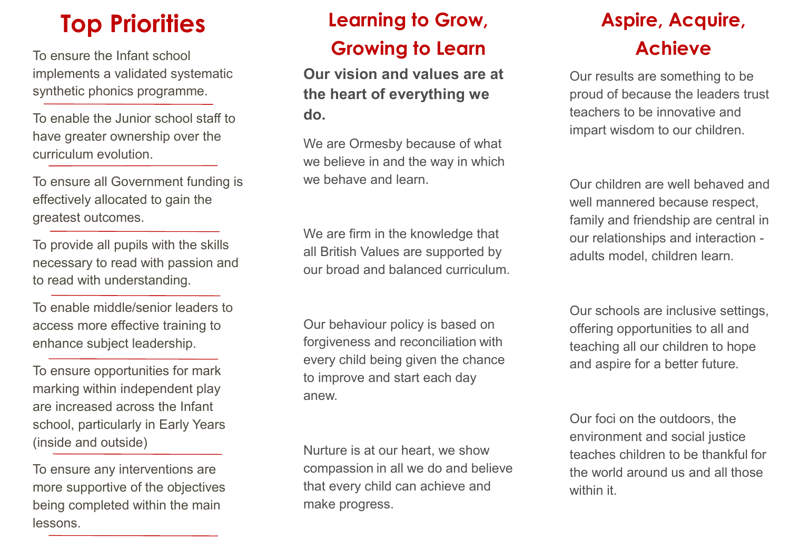implements a validated systematic synthetic phonics programme.

To enable the Junior school staff to have greater ownership over the curriculum evolution.

To ensure all Government funding is effectively allocated to gain the greatest outcomes.

To provide all pupils with the skills necessary to read with passion and to read with understanding.

To enable middle/senior leaders to access more effective training to enhance subject leadership.

To ensure opportunities for mark marking within independent play are increased across the Infant school, particularly in Early Years (inside and outside)

To ensure any interventions are more supportive of the objectives being completed within the main lessons.

### **Top Priorities Learning to Grow, Aspire, Acquire, Acquire, Acquire, Acquire, Acquire, Acquire, Acquire, Acquire, Acquire, Acquire, Acquire, Acquire, Acquire, Acquire, Acquire, Acquire, Acquire, Acquire, Acquire, Acquire,** To ensure the Infant school **Achieve Growing to LearnLearning to Grow,**

**Our vision and values are at the heart of everything we do.**

We are Ormesby because of what we believe in and the way in which we behave and learn.

We are firm in the knowledge that all British Values are supported by our broad and balanced curriculum.

Our behaviour policy is based on forgiveness and reconciliation with every child being given the chance to improve and start each day anew.

Nurture is at our heart, we show compassion in all we do and believe that every child can achieve and make progress.

Our results are something to be proud of because the leaders trust teachers to be innovative and impart wisdom to our children.

Our children are well behaved and well mannered because respect, family and friendship are central in our relationships and interaction adults model, children learn.

Our schools are inclusive settings, offering opportunities to all and teaching all our children to hope and aspire for a better future.

Our foci on the outdoors, the environment and social justice teaches children to be thankful for the world around us and all those within it.